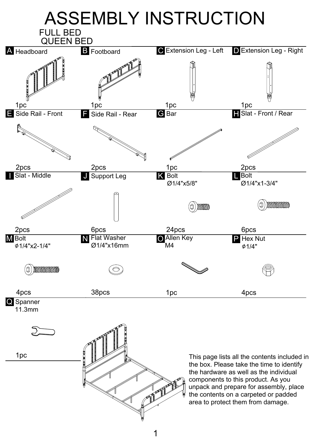

1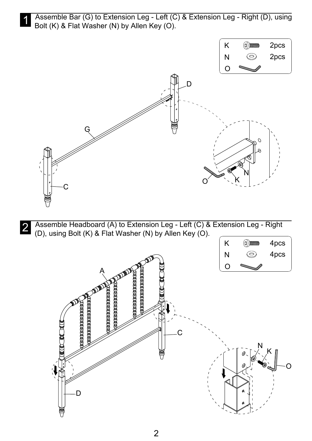Assemble Bar (G) to Extension Leg - Left (C) & Extension Leg - Right (D), using Bolt (K) & Flat Washer (N) by Allen Key (O).



Assemble Headboard (A) to Extension Leg - Left (C) & Extension Leg - Right<br>(D) using Bolt (K) & Elat Washer (N) by Allen Key (O) (D), using Bolt (K) & Flat Washer (N) by Allen Key (O).

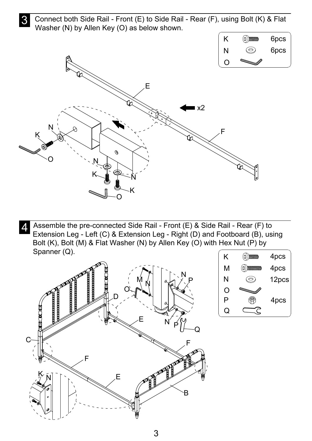3 Connect both Side Rail - Front (E) to Side Rail - Rear (F), using Bolt (K) & Flat Washer (N) by Allen Key (O) as below shown.



A Assemble the pre-connected Side Rail - Front (E) & Side Rail - Rear (F) to<br>A Extension Leg Left (C) & Extension Leg Pight (D) and Ecotheard (B), using Extension Leg - Left (C) & Extension Leg - Right (D) and Footboard (B), using Bolt (K), Bolt (M) & Flat Washer (N) by Allen Key (O) with Hex Nut (P) by Spanner (Q).



| Κ   | mm | 4pcs  |
|-----|----|-------|
| М   |    | 4pcs  |
| N   |    | 12pcs |
| . J |    |       |
| P   |    | 4pcs  |
|     |    |       |